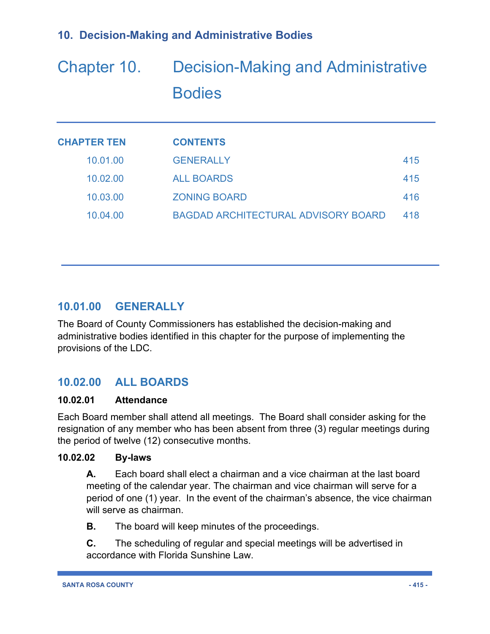# Chapter 10. Decision-Making and Administrative **Bodies**

| <b>CHAPTER TEN</b> | <b>CONTENTS</b>                            |     |
|--------------------|--------------------------------------------|-----|
| 10.01.00           | <b>GENERALLY</b>                           | 415 |
| 10.02.00           | <b>ALL BOARDS</b>                          | 415 |
| 10.03.00           | <b>ZONING BOARD</b>                        | 416 |
| 10.04.00           | <b>BAGDAD ARCHITECTURAL ADVISORY BOARD</b> | 418 |

# **10.01.00 GENERALLY**

The Board of County Commissioners has established the decision-making and administrative bodies identified in this chapter for the purpose of implementing the provisions of the LDC.

# **10.02.00 ALL BOARDS**

## **10.02.01 Attendance**

Each Board member shall attend all meetings. The Board shall consider asking for the resignation of any member who has been absent from three (3) regular meetings during the period of twelve (12) consecutive months.

## **10.02.02 By-laws**

**A.** Each board shall elect a chairman and a vice chairman at the last board meeting of the calendar year. The chairman and vice chairman will serve for a period of one (1) year. In the event of the chairman's absence, the vice chairman will serve as chairman.

**B.** The board will keep minutes of the proceedings.

**C.** The scheduling of regular and special meetings will be advertised in accordance with Florida Sunshine Law.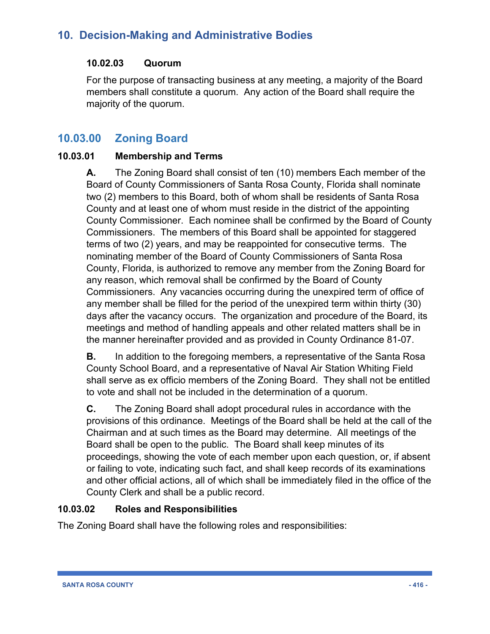## **10.02.03 Quorum**

For the purpose of transacting business at any meeting, a majority of the Board members shall constitute a quorum. Any action of the Board shall require the majority of the quorum.

# **10.03.00 Zoning Board**

## **10.03.01 Membership and Terms**

**A.** The Zoning Board shall consist of ten (10) members Each member of the Board of County Commissioners of Santa Rosa County, Florida shall nominate two (2) members to this Board, both of whom shall be residents of Santa Rosa County and at least one of whom must reside in the district of the appointing County Commissioner. Each nominee shall be confirmed by the Board of County Commissioners. The members of this Board shall be appointed for staggered terms of two (2) years, and may be reappointed for consecutive terms. The nominating member of the Board of County Commissioners of Santa Rosa County, Florida, is authorized to remove any member from the Zoning Board for any reason, which removal shall be confirmed by the Board of County Commissioners. Any vacancies occurring during the unexpired term of office of any member shall be filled for the period of the unexpired term within thirty (30) days after the vacancy occurs. The organization and procedure of the Board, its meetings and method of handling appeals and other related matters shall be in the manner hereinafter provided and as provided in County Ordinance 81-07.

**B.** In addition to the foregoing members, a representative of the Santa Rosa County School Board, and a representative of Naval Air Station Whiting Field shall serve as ex officio members of the Zoning Board. They shall not be entitled to vote and shall not be included in the determination of a quorum.

**C.** The Zoning Board shall adopt procedural rules in accordance with the provisions of this ordinance. Meetings of the Board shall be held at the call of the Chairman and at such times as the Board may determine. All meetings of the Board shall be open to the public. The Board shall keep minutes of its proceedings, showing the vote of each member upon each question, or, if absent or failing to vote, indicating such fact, and shall keep records of its examinations and other official actions, all of which shall be immediately filed in the office of the County Clerk and shall be a public record.

## **10.03.02 Roles and Responsibilities**

The Zoning Board shall have the following roles and responsibilities: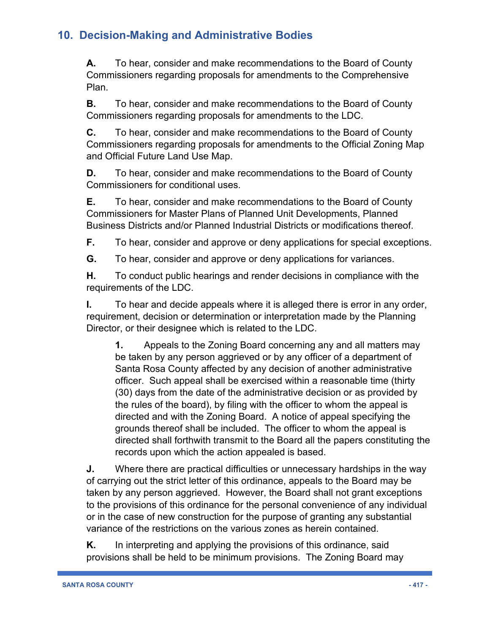**A.** To hear, consider and make recommendations to the Board of County Commissioners regarding proposals for amendments to the Comprehensive Plan.

**B.** To hear, consider and make recommendations to the Board of County Commissioners regarding proposals for amendments to the LDC.

**C.** To hear, consider and make recommendations to the Board of County Commissioners regarding proposals for amendments to the Official Zoning Map and Official Future Land Use Map.

**D.** To hear, consider and make recommendations to the Board of County Commissioners for conditional uses.

**E.** To hear, consider and make recommendations to the Board of County Commissioners for Master Plans of Planned Unit Developments, Planned Business Districts and/or Planned Industrial Districts or modifications thereof.

**F.** To hear, consider and approve or deny applications for special exceptions.

**G.** To hear, consider and approve or deny applications for variances.

**H.** To conduct public hearings and render decisions in compliance with the requirements of the LDC.

**I.** To hear and decide appeals where it is alleged there is error in any order, requirement, decision or determination or interpretation made by the Planning Director, or their designee which is related to the LDC.

**1.** Appeals to the Zoning Board concerning any and all matters may be taken by any person aggrieved or by any officer of a department of Santa Rosa County affected by any decision of another administrative officer. Such appeal shall be exercised within a reasonable time (thirty (30) days from the date of the administrative decision or as provided by the rules of the board), by filing with the officer to whom the appeal is directed and with the Zoning Board. A notice of appeal specifying the grounds thereof shall be included. The officer to whom the appeal is directed shall forthwith transmit to the Board all the papers constituting the records upon which the action appealed is based.

**J.** Where there are practical difficulties or unnecessary hardships in the way of carrying out the strict letter of this ordinance, appeals to the Board may be taken by any person aggrieved. However, the Board shall not grant exceptions to the provisions of this ordinance for the personal convenience of any individual or in the case of new construction for the purpose of granting any substantial variance of the restrictions on the various zones as herein contained.

**K.** In interpreting and applying the provisions of this ordinance, said provisions shall be held to be minimum provisions. The Zoning Board may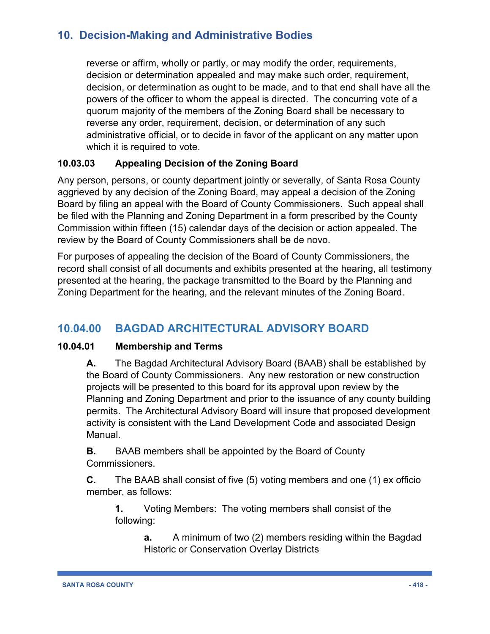reverse or affirm, wholly or partly, or may modify the order, requirements, decision or determination appealed and may make such order, requirement, decision, or determination as ought to be made, and to that end shall have all the powers of the officer to whom the appeal is directed. The concurring vote of a quorum majority of the members of the Zoning Board shall be necessary to reverse any order, requirement, decision, or determination of any such administrative official, or to decide in favor of the applicant on any matter upon which it is required to vote.

## **10.03.03 Appealing Decision of the Zoning Board**

Any person, persons, or county department jointly or severally, of Santa Rosa County aggrieved by any decision of the Zoning Board, may appeal a decision of the Zoning Board by filing an appeal with the Board of County Commissioners. Such appeal shall be filed with the Planning and Zoning Department in a form prescribed by the County Commission within fifteen (15) calendar days of the decision or action appealed. The review by the Board of County Commissioners shall be de novo.

For purposes of appealing the decision of the Board of County Commissioners, the record shall consist of all documents and exhibits presented at the hearing, all testimony presented at the hearing, the package transmitted to the Board by the Planning and Zoning Department for the hearing, and the relevant minutes of the Zoning Board.

# **10.04.00 BAGDAD ARCHITECTURAL ADVISORY BOARD**

## **10.04.01 Membership and Terms**

**A.** The Bagdad Architectural Advisory Board (BAAB) shall be established by the Board of County Commissioners. Any new restoration or new construction projects will be presented to this board for its approval upon review by the Planning and Zoning Department and prior to the issuance of any county building permits. The Architectural Advisory Board will insure that proposed development activity is consistent with the Land Development Code and associated Design Manual.

**B.** BAAB members shall be appointed by the Board of County Commissioners.

**C.** The BAAB shall consist of five (5) voting members and one (1) ex officio member, as follows:

**1.** Voting Members: The voting members shall consist of the following:

> **a.** A minimum of two (2) members residing within the Bagdad Historic or Conservation Overlay Districts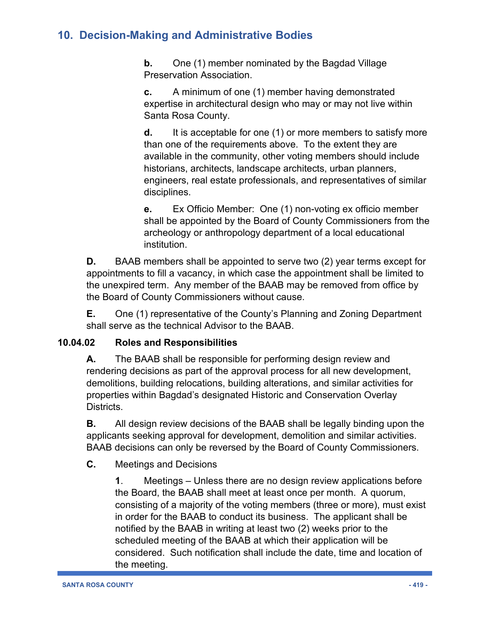**b.** One (1) member nominated by the Bagdad Village Preservation Association.

**c.** A minimum of one (1) member having demonstrated expertise in architectural design who may or may not live within Santa Rosa County.

**d.** It is acceptable for one (1) or more members to satisfy more than one of the requirements above. To the extent they are available in the community, other voting members should include historians, architects, landscape architects, urban planners, engineers, real estate professionals, and representatives of similar disciplines.

**e.** Ex Officio Member: One (1) non-voting ex officio member shall be appointed by the Board of County Commissioners from the archeology or anthropology department of a local educational institution.

**D.** BAAB members shall be appointed to serve two (2) year terms except for appointments to fill a vacancy, in which case the appointment shall be limited to the unexpired term. Any member of the BAAB may be removed from office by the Board of County Commissioners without cause.

**E.** One (1) representative of the County's Planning and Zoning Department shall serve as the technical Advisor to the BAAB.

## **10.04.02 Roles and Responsibilities**

**A.** The BAAB shall be responsible for performing design review and rendering decisions as part of the approval process for all new development, demolitions, building relocations, building alterations, and similar activities for properties within Bagdad's designated Historic and Conservation Overlay Districts.

**B.** All design review decisions of the BAAB shall be legally binding upon the applicants seeking approval for development, demolition and similar activities. BAAB decisions can only be reversed by the Board of County Commissioners.

## **C.** Meetings and Decisions

**1**. Meetings – Unless there are no design review applications before the Board, the BAAB shall meet at least once per month. A quorum, consisting of a majority of the voting members (three or more), must exist in order for the BAAB to conduct its business. The applicant shall be notified by the BAAB in writing at least two (2) weeks prior to the scheduled meeting of the BAAB at which their application will be considered. Such notification shall include the date, time and location of the meeting.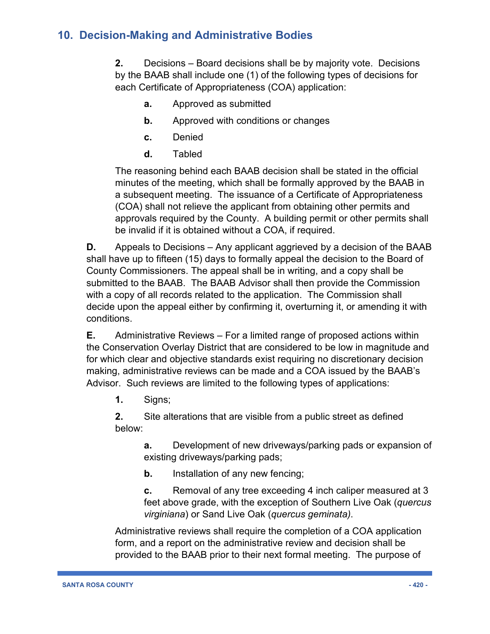**2.** Decisions – Board decisions shall be by majority vote. Decisions by the BAAB shall include one (1) of the following types of decisions for each Certificate of Appropriateness (COA) application:

- **a.** Approved as submitted
- **b.** Approved with conditions or changes
- **c.** Denied
- **d.** Tabled

The reasoning behind each BAAB decision shall be stated in the official minutes of the meeting, which shall be formally approved by the BAAB in a subsequent meeting. The issuance of a Certificate of Appropriateness (COA) shall not relieve the applicant from obtaining other permits and approvals required by the County. A building permit or other permits shall be invalid if it is obtained without a COA, if required.

**D.** Appeals to Decisions – Any applicant aggrieved by a decision of the BAAB shall have up to fifteen (15) days to formally appeal the decision to the Board of County Commissioners. The appeal shall be in writing, and a copy shall be submitted to the BAAB. The BAAB Advisor shall then provide the Commission with a copy of all records related to the application. The Commission shall decide upon the appeal either by confirming it, overturning it, or amending it with conditions.

**E.** Administrative Reviews – For a limited range of proposed actions within the Conservation Overlay District that are considered to be low in magnitude and for which clear and objective standards exist requiring no discretionary decision making, administrative reviews can be made and a COA issued by the BAAB's Advisor. Such reviews are limited to the following types of applications:

**1.** Signs;

**2.** Site alterations that are visible from a public street as defined below:

> **a.** Development of new driveways/parking pads or expansion of existing driveways/parking pads;

**b.** Installation of any new fencing;

**c.** Removal of any tree exceeding 4 inch caliper measured at 3 feet above grade, with the exception of Southern Live Oak (*quercus virginiana*) or Sand Live Oak (*quercus geminata)*.

Administrative reviews shall require the completion of a COA application form, and a report on the administrative review and decision shall be provided to the BAAB prior to their next formal meeting. The purpose of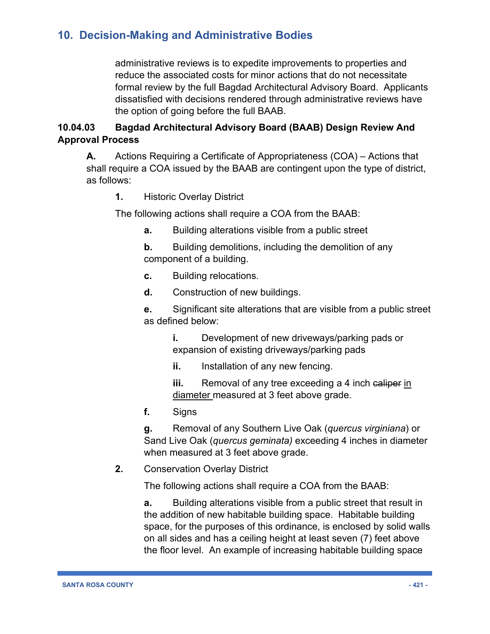administrative reviews is to expedite improvements to properties and reduce the associated costs for minor actions that do not necessitate formal review by the full Bagdad Architectural Advisory Board. Applicants dissatisfied with decisions rendered through administrative reviews have the option of going before the full BAAB.

## **10.04.03 Bagdad Architectural Advisory Board (BAAB) Design Review And Approval Process**

**A.** Actions Requiring a Certificate of Appropriateness (COA) – Actions that shall require a COA issued by the BAAB are contingent upon the type of district, as follows:

**1.** Historic Overlay District

The following actions shall require a COA from the BAAB:

- **a.** Building alterations visible from a public street
- **b.** Building demolitions, including the demolition of any component of a building.
- **c.** Building relocations.
- **d.** Construction of new buildings.

**e.** Significant site alterations that are visible from a public street as defined below:

**i.** Development of new driveways/parking pads or expansion of existing driveways/parking pads

**ii.** Installation of any new fencing.

**iii.** Removal of any tree exceeding a 4 inch ealiper in diameter measured at 3 feet above grade.

**f.** Signs

**g.** Removal of any Southern Live Oak (*quercus virginiana*) or Sand Live Oak (*quercus geminata)* exceeding 4 inches in diameter when measured at 3 feet above grade.

**2.** Conservation Overlay District

The following actions shall require a COA from the BAAB:

**a.** Building alterations visible from a public street that result in the addition of new habitable building space. Habitable building space, for the purposes of this ordinance, is enclosed by solid walls on all sides and has a ceiling height at least seven (7) feet above the floor level. An example of increasing habitable building space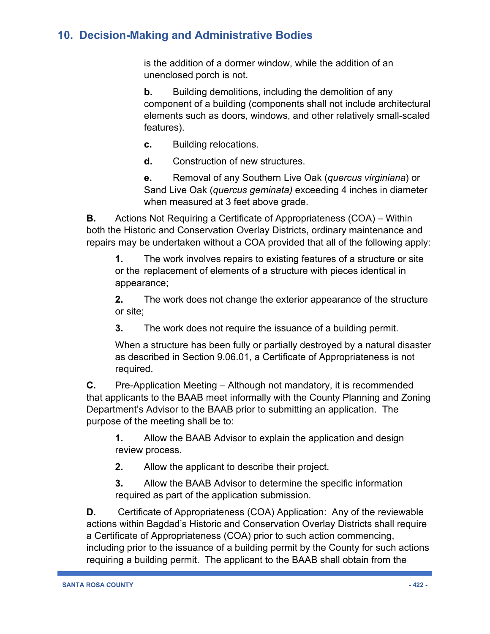is the addition of a dormer window, while the addition of an unenclosed porch is not.

**b.** Building demolitions, including the demolition of any component of a building (components shall not include architectural elements such as doors, windows, and other relatively small-scaled features).

- **c.** Building relocations.
- **d.** Construction of new structures.

**e.** Removal of any Southern Live Oak (*quercus virginiana*) or Sand Live Oak (*quercus geminata)* exceeding 4 inches in diameter when measured at 3 feet above grade.

**B.** Actions Not Requiring a Certificate of Appropriateness (COA) – Within both the Historic and Conservation Overlay Districts, ordinary maintenance and repairs may be undertaken without a COA provided that all of the following apply:

**1.** The work involves repairs to existing features of a structure or site or the replacement of elements of a structure with pieces identical in appearance;

**2.** The work does not change the exterior appearance of the structure or site;

**3.** The work does not require the issuance of a building permit.

When a structure has been fully or partially destroyed by a natural disaster as described in Section 9.06.01, a Certificate of Appropriateness is not required.

**C.** Pre-Application Meeting – Although not mandatory, it is recommended that applicants to the BAAB meet informally with the County Planning and Zoning Department's Advisor to the BAAB prior to submitting an application. The purpose of the meeting shall be to:

**1.** Allow the BAAB Advisor to explain the application and design review process.

**2.** Allow the applicant to describe their project.

**3.** Allow the BAAB Advisor to determine the specific information required as part of the application submission.

**D.** Certificate of Appropriateness (COA) Application: Any of the reviewable actions within Bagdad's Historic and Conservation Overlay Districts shall require a Certificate of Appropriateness (COA) prior to such action commencing, including prior to the issuance of a building permit by the County for such actions requiring a building permit. The applicant to the BAAB shall obtain from the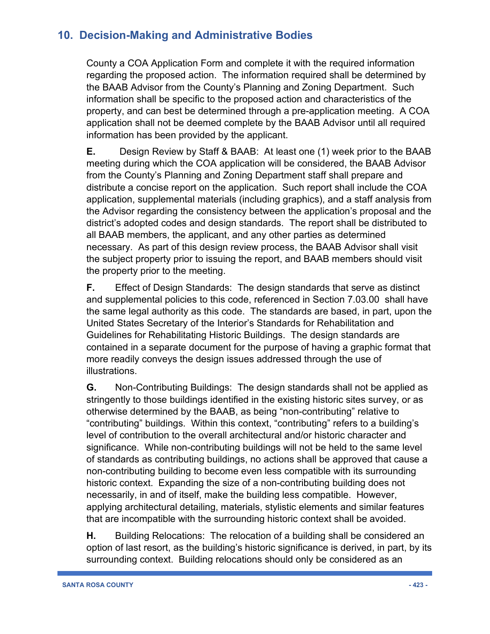County a COA Application Form and complete it with the required information regarding the proposed action. The information required shall be determined by the BAAB Advisor from the County's Planning and Zoning Department. Such information shall be specific to the proposed action and characteristics of the property, and can best be determined through a pre-application meeting. A COA application shall not be deemed complete by the BAAB Advisor until all required information has been provided by the applicant.

**E.** Design Review by Staff & BAAB: At least one (1) week prior to the BAAB meeting during which the COA application will be considered, the BAAB Advisor from the County's Planning and Zoning Department staff shall prepare and distribute a concise report on the application. Such report shall include the COA application, supplemental materials (including graphics), and a staff analysis from the Advisor regarding the consistency between the application's proposal and the district's adopted codes and design standards. The report shall be distributed to all BAAB members, the applicant, and any other parties as determined necessary. As part of this design review process, the BAAB Advisor shall visit the subject property prior to issuing the report, and BAAB members should visit the property prior to the meeting.

**F.** Effect of Design Standards: The design standards that serve as distinct and supplemental policies to this code, referenced in Section 7.03.00 shall have the same legal authority as this code. The standards are based, in part, upon the United States Secretary of the Interior's Standards for Rehabilitation and Guidelines for Rehabilitating Historic Buildings. The design standards are contained in a separate document for the purpose of having a graphic format that more readily conveys the design issues addressed through the use of illustrations.

**G.** Non-Contributing Buildings: The design standards shall not be applied as stringently to those buildings identified in the existing historic sites survey, or as otherwise determined by the BAAB, as being "non-contributing" relative to "contributing" buildings. Within this context, "contributing" refers to a building's level of contribution to the overall architectural and/or historic character and significance. While non-contributing buildings will not be held to the same level of standards as contributing buildings, no actions shall be approved that cause a non-contributing building to become even less compatible with its surrounding historic context. Expanding the size of a non-contributing building does not necessarily, in and of itself, make the building less compatible. However, applying architectural detailing, materials, stylistic elements and similar features that are incompatible with the surrounding historic context shall be avoided.

**H.** Building Relocations: The relocation of a building shall be considered an option of last resort, as the building's historic significance is derived, in part, by its surrounding context. Building relocations should only be considered as an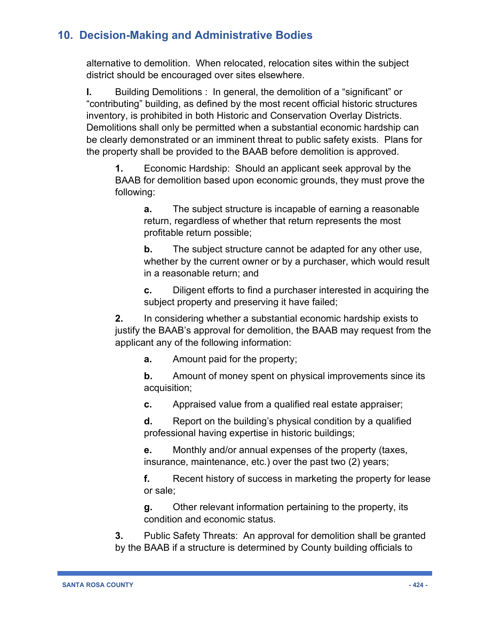alternative to demolition. When relocated, relocation sites within the subject district should be encouraged over sites elsewhere.

**I.** Building Demolitions : In general, the demolition of a "significant" or "contributing" building, as defined by the most recent official historic structures inventory, is prohibited in both Historic and Conservation Overlay Districts. Demolitions shall only be permitted when a substantial economic hardship can be clearly demonstrated or an imminent threat to public safety exists. Plans for the property shall be provided to the BAAB before demolition is approved.

**1.** Economic Hardship: Should an applicant seek approval by the BAAB for demolition based upon economic grounds, they must prove the following:

**a.** The subject structure is incapable of earning a reasonable return, regardless of whether that return represents the most profitable return possible;

**b.** The subject structure cannot be adapted for any other use, whether by the current owner or by a purchaser, which would result in a reasonable return; and

**c.** Diligent efforts to find a purchaser interested in acquiring the subject property and preserving it have failed;

**2.** In considering whether a substantial economic hardship exists to justify the BAAB's approval for demolition, the BAAB may request from the applicant any of the following information:

**a.** Amount paid for the property;

**b.** Amount of money spent on physical improvements since its acquisition;

**c.** Appraised value from a qualified real estate appraiser;

**d.** Report on the building's physical condition by a qualified professional having expertise in historic buildings;

**e.** Monthly and/or annual expenses of the property (taxes, insurance, maintenance, etc.) over the past two (2) years;

**f.** Recent history of success in marketing the property for lease or sale;

**g.** Other relevant information pertaining to the property, its condition and economic status.

**3.** Public Safety Threats: An approval for demolition shall be granted by the BAAB if a structure is determined by County building officials to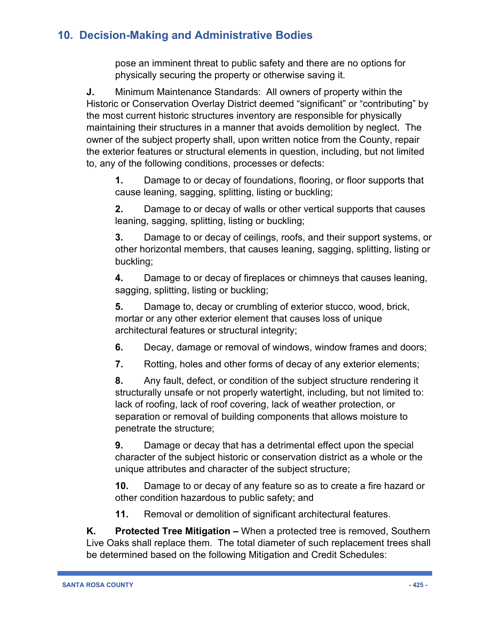pose an imminent threat to public safety and there are no options for physically securing the property or otherwise saving it.

**J.** Minimum Maintenance Standards: All owners of property within the Historic or Conservation Overlay District deemed "significant" or "contributing" by the most current historic structures inventory are responsible for physically maintaining their structures in a manner that avoids demolition by neglect. The owner of the subject property shall, upon written notice from the County, repair the exterior features or structural elements in question, including, but not limited to, any of the following conditions, processes or defects:

**1.** Damage to or decay of foundations, flooring, or floor supports that cause leaning, sagging, splitting, listing or buckling;

**2.** Damage to or decay of walls or other vertical supports that causes leaning, sagging, splitting, listing or buckling;

**3.** Damage to or decay of ceilings, roofs, and their support systems, or other horizontal members, that causes leaning, sagging, splitting, listing or buckling;

**4.** Damage to or decay of fireplaces or chimneys that causes leaning, sagging, splitting, listing or buckling;

**5.** Damage to, decay or crumbling of exterior stucco, wood, brick, mortar or any other exterior element that causes loss of unique architectural features or structural integrity;

**6.** Decay, damage or removal of windows, window frames and doors;

**7.** Rotting, holes and other forms of decay of any exterior elements;

**8.** Any fault, defect, or condition of the subject structure rendering it structurally unsafe or not properly watertight, including, but not limited to: lack of roofing, lack of roof covering, lack of weather protection, or separation or removal of building components that allows moisture to penetrate the structure;

**9.** Damage or decay that has a detrimental effect upon the special character of the subject historic or conservation district as a whole or the unique attributes and character of the subject structure;

**10.** Damage to or decay of any feature so as to create a fire hazard or other condition hazardous to public safety; and

**11.** Removal or demolition of significant architectural features.

**K. Protected Tree Mitigation –** When a protected tree is removed, Southern Live Oaks shall replace them. The total diameter of such replacement trees shall be determined based on the following Mitigation and Credit Schedules: